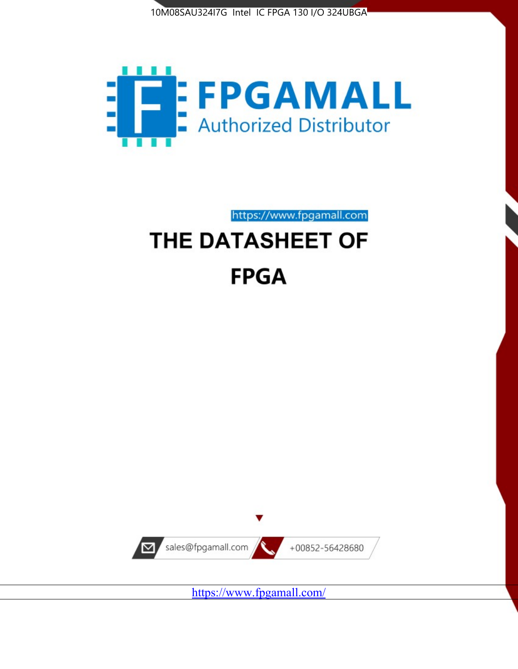



https://www.fpgamall.com

# THE DATASHEET OF **FPGA**



<https://www.fpgamall.com/>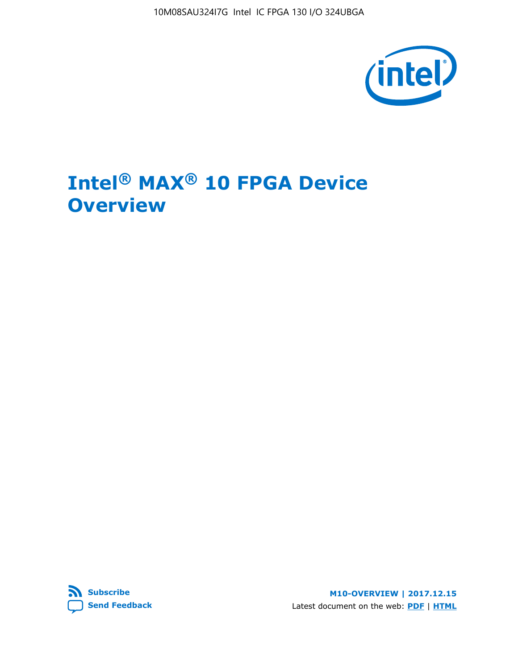10M08SAU324I7G Intel IC FPGA 130 I/O 324UBGA



# **Intel® MAX® 10 FPGA Device Overview**



**M10-OVERVIEW | 2017.12.15** Latest document on the web: **[PDF](https://www.altera.com/en_US/pdfs/literature/hb/max-10/m10_overview.pdf)** | **[HTML](https://www.altera.com/documentation/myt1396938463674.html)**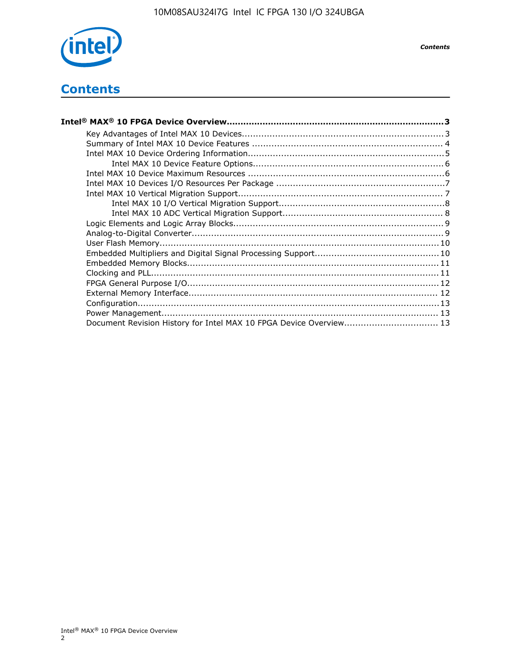

## **Contents**

| Intel® MAX® 10 FPGA Device Overview……………………………………………………………………………3  |  |
|--------------------------------------------------------------------|--|
|                                                                    |  |
|                                                                    |  |
|                                                                    |  |
|                                                                    |  |
|                                                                    |  |
|                                                                    |  |
|                                                                    |  |
|                                                                    |  |
|                                                                    |  |
|                                                                    |  |
|                                                                    |  |
|                                                                    |  |
|                                                                    |  |
|                                                                    |  |
|                                                                    |  |
|                                                                    |  |
|                                                                    |  |
|                                                                    |  |
|                                                                    |  |
| Document Revision History for Intel MAX 10 FPGA Device Overview 13 |  |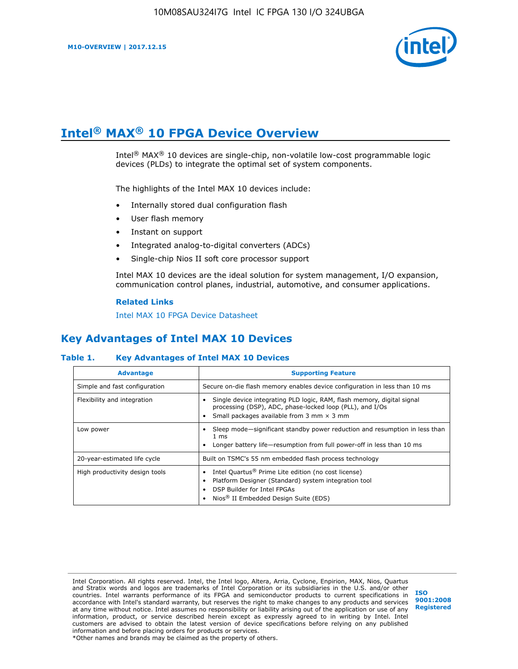

# **Intel® MAX® 10 FPGA Device Overview**

Intel® MAX® 10 devices are single-chip, non-volatile low-cost programmable logic devices (PLDs) to integrate the optimal set of system components.

The highlights of the Intel MAX 10 devices include:

- Internally stored dual configuration flash
- User flash memory
- Instant on support
- Integrated analog-to-digital converters (ADCs)
- Single-chip Nios II soft core processor support

Intel MAX 10 devices are the ideal solution for system management, I/O expansion, communication control planes, industrial, automotive, and consumer applications.

#### **Related Links**

[Intel MAX 10 FPGA Device Datasheet](https://www.altera.com/documentation/mcn1397700832153.html#mcn1397643748870)

## **Key Advantages of Intel MAX 10 Devices**

## **Table 1. Key Advantages of Intel MAX 10 Devices**

| <b>Advantage</b>               | <b>Supporting Feature</b>                                                                                                                                                                                  |  |  |  |
|--------------------------------|------------------------------------------------------------------------------------------------------------------------------------------------------------------------------------------------------------|--|--|--|
| Simple and fast configuration  | Secure on-die flash memory enables device configuration in less than 10 ms                                                                                                                                 |  |  |  |
| Flexibility and integration    | Single device integrating PLD logic, RAM, flash memory, digital signal<br>processing (DSP), ADC, phase-locked loop (PLL), and I/Os<br>Small packages available from 3 mm $\times$ 3 mm                     |  |  |  |
| Low power                      | Sleep mode—significant standby power reduction and resumption in less than<br>$1 \text{ ms}$<br>Longer battery life—resumption from full power-off in less than 10 ms                                      |  |  |  |
| 20-year-estimated life cycle   | Built on TSMC's 55 nm embedded flash process technology                                                                                                                                                    |  |  |  |
| High productivity design tools | Intel Quartus <sup>®</sup> Prime Lite edition (no cost license)<br>Platform Designer (Standard) system integration tool<br>DSP Builder for Intel FPGAs<br>Nios <sup>®</sup> II Embedded Design Suite (EDS) |  |  |  |

Intel Corporation. All rights reserved. Intel, the Intel logo, Altera, Arria, Cyclone, Enpirion, MAX, Nios, Quartus and Stratix words and logos are trademarks of Intel Corporation or its subsidiaries in the U.S. and/or other countries. Intel warrants performance of its FPGA and semiconductor products to current specifications in accordance with Intel's standard warranty, but reserves the right to make changes to any products and services at any time without notice. Intel assumes no responsibility or liability arising out of the application or use of any information, product, or service described herein except as expressly agreed to in writing by Intel. Intel customers are advised to obtain the latest version of device specifications before relying on any published information and before placing orders for products or services. \*Other names and brands may be claimed as the property of others.

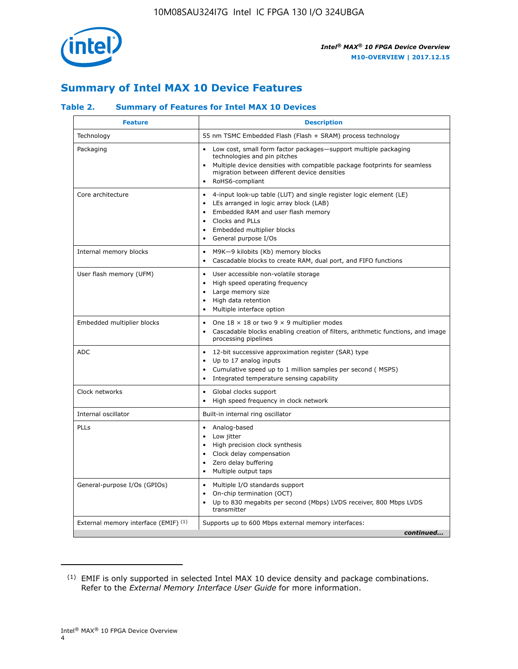

## **Summary of Intel MAX 10 Device Features**

## **Table 2. Summary of Features for Intel MAX 10 Devices**

| <b>Feature</b>                       | <b>Description</b>                                                                                                                                                                                                                                                                                         |
|--------------------------------------|------------------------------------------------------------------------------------------------------------------------------------------------------------------------------------------------------------------------------------------------------------------------------------------------------------|
| Technology                           | 55 nm TSMC Embedded Flash (Flash + SRAM) process technology                                                                                                                                                                                                                                                |
| Packaging                            | Low cost, small form factor packages-support multiple packaging<br>technologies and pin pitches<br>Multiple device densities with compatible package footprints for seamless<br>migration between different device densities<br>RoHS6-compliant                                                            |
| Core architecture                    | 4-input look-up table (LUT) and single register logic element (LE)<br>$\bullet$<br>LEs arranged in logic array block (LAB)<br>$\bullet$<br>Embedded RAM and user flash memory<br>$\bullet$<br>Clocks and PLLs<br>$\bullet$<br>Embedded multiplier blocks<br>$\bullet$<br>General purpose I/Os<br>$\bullet$ |
| Internal memory blocks               | M9K-9 kilobits (Kb) memory blocks<br>$\bullet$<br>Cascadable blocks to create RAM, dual port, and FIFO functions<br>$\bullet$                                                                                                                                                                              |
| User flash memory (UFM)              | User accessible non-volatile storage<br>$\bullet$<br>High speed operating frequency<br>$\bullet$<br>Large memory size<br>High data retention<br>$\bullet$<br>Multiple interface option                                                                                                                     |
| Embedded multiplier blocks           | One $18 \times 18$ or two 9 $\times$ 9 multiplier modes<br>$\bullet$<br>Cascadable blocks enabling creation of filters, arithmetic functions, and image<br>processing pipelines                                                                                                                            |
| <b>ADC</b>                           | 12-bit successive approximation register (SAR) type<br>$\bullet$<br>Up to 17 analog inputs<br>$\bullet$<br>Cumulative speed up to 1 million samples per second (MSPS)<br>Integrated temperature sensing capability<br>$\bullet$                                                                            |
| Clock networks                       | Global clocks support<br>$\bullet$<br>High speed frequency in clock network                                                                                                                                                                                                                                |
| Internal oscillator                  | Built-in internal ring oscillator                                                                                                                                                                                                                                                                          |
| PLLs                                 | • Analog-based<br>Low jitter<br>$\bullet$<br>High precision clock synthesis<br>$\bullet$<br>Clock delay compensation<br>$\bullet$<br>Zero delay buffering<br>$\bullet$<br>Multiple output taps<br>$\bullet$                                                                                                |
| General-purpose I/Os (GPIOs)         | • Multiple I/O standards support<br>On-chip termination (OCT)<br>$\bullet$<br>Up to 830 megabits per second (Mbps) LVDS receiver, 800 Mbps LVDS<br>transmitter                                                                                                                                             |
| External memory interface (EMIF) (1) | Supports up to 600 Mbps external memory interfaces:<br>continued                                                                                                                                                                                                                                           |

<sup>(1)</sup> EMIF is only supported in selected Intel MAX 10 device density and package combinations. Refer to the *External Memory Interface User Guide* for more information.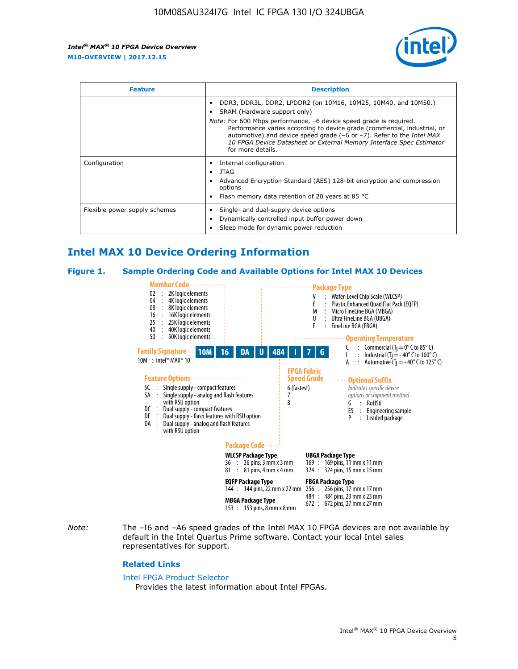

| <b>Feature</b>                | <b>Description</b>                                                                                                                                                                                                                                                                                                                             |  |  |  |
|-------------------------------|------------------------------------------------------------------------------------------------------------------------------------------------------------------------------------------------------------------------------------------------------------------------------------------------------------------------------------------------|--|--|--|
|                               | DDR3, DDR3L, DDR2, LPDDR2 (on 10M16, 10M25, 10M40, and 10M50.)<br>SRAM (Hardware support only)                                                                                                                                                                                                                                                 |  |  |  |
|                               | <i>Note:</i> For 600 Mbps performance, -6 device speed grade is required.<br>Performance varies according to device grade (commercial, industrial, or<br>automotive) and device speed grade $(-6 \text{ or } -7)$ . Refer to the <i>Intel MAX</i><br>10 FPGA Device Datasheet or External Memory Interface Spec Estimator<br>for more details. |  |  |  |
| Configuration                 | Internal configuration                                                                                                                                                                                                                                                                                                                         |  |  |  |
|                               | JTAG<br>٠                                                                                                                                                                                                                                                                                                                                      |  |  |  |
|                               | Advanced Encryption Standard (AES) 128-bit encryption and compression<br>options                                                                                                                                                                                                                                                               |  |  |  |
|                               | Flash memory data retention of 20 years at 85 $^{\circ}$ C                                                                                                                                                                                                                                                                                     |  |  |  |
| Flexible power supply schemes | Single- and dual-supply device options                                                                                                                                                                                                                                                                                                         |  |  |  |
|                               | Dynamically controlled input buffer power down                                                                                                                                                                                                                                                                                                 |  |  |  |
|                               | Sleep mode for dynamic power reduction                                                                                                                                                                                                                                                                                                         |  |  |  |

## **Intel MAX 10 Device Ordering Information**

#### **Figure 1. Sample Ordering Code and Available Options for Intel MAX 10 Devices**



*Note:* The –I6 and –A6 speed grades of the Intel MAX 10 FPGA devices are not available by default in the Intel Quartus Prime software. Contact your local Intel sales representatives for support.

#### **Related Links**

#### [Intel FPGA Product Selector](http://www.altera.com/products/selector/psg-selector.html)

Provides the latest information about Intel FPGAs.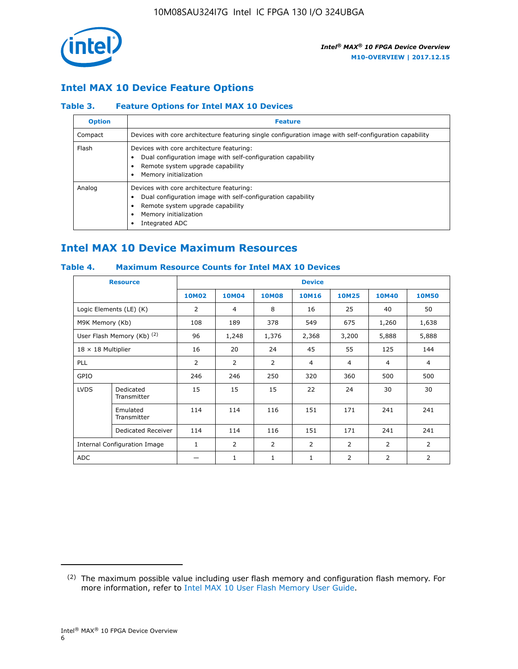

## **Intel MAX 10 Device Feature Options**

## **Table 3. Feature Options for Intel MAX 10 Devices**

| <b>Option</b> | <b>Feature</b>                                                                                                                                                                          |
|---------------|-----------------------------------------------------------------------------------------------------------------------------------------------------------------------------------------|
| Compact       | Devices with core architecture featuring single configuration image with self-configuration capability                                                                                  |
| Flash         | Devices with core architecture featuring:<br>Dual configuration image with self-configuration capability<br>Remote system upgrade capability<br>Memory initialization                   |
| Analog        | Devices with core architecture featuring:<br>Dual configuration image with self-configuration capability<br>Remote system upgrade capability<br>Memory initialization<br>Integrated ADC |

## **Intel MAX 10 Device Maximum Resources**

## **Table 4. Maximum Resource Counts for Intel MAX 10 Devices**

| <b>Resource</b>              |                            | <b>Device</b>  |              |              |                |                |              |                |
|------------------------------|----------------------------|----------------|--------------|--------------|----------------|----------------|--------------|----------------|
|                              |                            | <b>10M02</b>   | <b>10M04</b> | <b>10M08</b> | <b>10M16</b>   | <b>10M25</b>   | <b>10M40</b> | <b>10M50</b>   |
|                              | Logic Elements (LE) (K)    | $\overline{2}$ | 4            | 8            | 16             | 25             | 40           | 50             |
| M9K Memory (Kb)              |                            | 108            | 189          | 378          | 549            | 675            | 1,260        | 1,638          |
|                              | User Flash Memory (Kb) (2) | 96             | 1,248        | 1,376        | 2,368          | 3,200          | 5,888        | 5,888          |
| $18 \times 18$ Multiplier    |                            | 16             | 20           | 24           | 45             | 55             | 125          | 144            |
| <b>PLL</b>                   |                            | 2              | 2            | 2            | $\overline{4}$ | $\overline{4}$ | 4            | $\overline{4}$ |
| GPIO                         |                            | 246            | 246          | 250          | 320            | 360            | 500          | 500            |
| <b>LVDS</b>                  | Dedicated<br>Transmitter   | 15             | 15           | 15           | 22             | 24             | 30           | 30             |
|                              | Emulated<br>Transmitter    | 114            | 114          | 116          | 151            | 171            | 241          | 241            |
|                              | Dedicated Receiver         | 114            | 114          | 116          | 151            | 171            | 241          | 241            |
| Internal Configuration Image |                            | $\mathbf{1}$   | 2            | 2            | $\overline{2}$ | 2              | 2            | $\overline{2}$ |
| <b>ADC</b>                   |                            |                | 1            | 1            | $\mathbf{1}$   | 2              | 2            | 2              |

<sup>(2)</sup> The maximum possible value including user flash memory and configuration flash memory. For more information, refer to [Intel MAX 10 User Flash Memory User Guide](https://www.altera.com/documentation/vgo1395753117436.html#vgo1395811844282).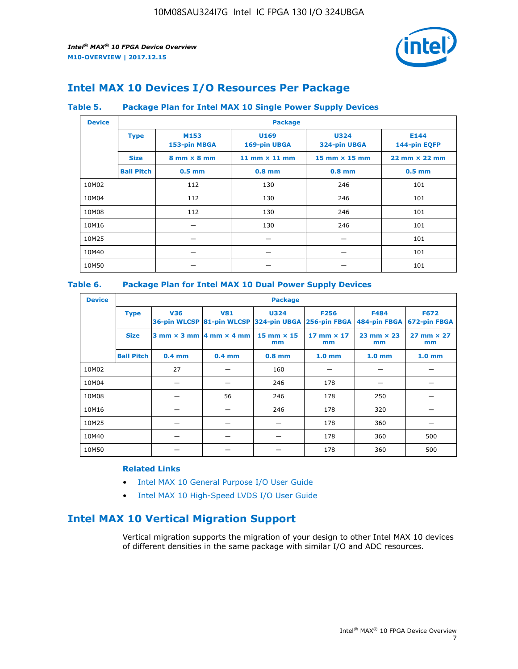

## **Intel MAX 10 Devices I/O Resources Per Package**

## **Table 5. Package Plan for Intel MAX 10 Single Power Supply Devices**

| <b>Device</b> |                   | <b>Package</b>                     |                      |                             |                                      |  |  |  |  |
|---------------|-------------------|------------------------------------|----------------------|-----------------------------|--------------------------------------|--|--|--|--|
|               | <b>Type</b>       | M153<br>153-pin MBGA               | U169<br>169-pin UBGA | <b>U324</b><br>324-pin UBGA | E144<br>144-pin EQFP                 |  |  |  |  |
|               | <b>Size</b>       | $8 \text{ mm} \times 8 \text{ mm}$ | 11 mm $\times$ 11 mm | $15$ mm $\times$ 15 mm      | $22 \text{ mm} \times 22 \text{ mm}$ |  |  |  |  |
|               | <b>Ball Pitch</b> | $0.5$ mm                           | $0.8$ mm             | $0.8$ mm                    | $0.5$ mm                             |  |  |  |  |
| 10M02         |                   | 112                                | 130                  | 246                         | 101                                  |  |  |  |  |
| 10M04         |                   | 112                                | 130                  | 246                         | 101                                  |  |  |  |  |
| 10M08         |                   | 112                                | 130                  | 246                         | 101                                  |  |  |  |  |
| 10M16         |                   |                                    | 130                  | 246                         | 101                                  |  |  |  |  |
| 10M25         |                   |                                    |                      |                             | 101                                  |  |  |  |  |
| 10M40         |                   |                                    |                      |                             | 101                                  |  |  |  |  |
| 10M50         |                   |                                    |                      |                             | 101                                  |  |  |  |  |

## **Table 6. Package Plan for Intel MAX 10 Dual Power Supply Devices**

| <b>Device</b> |                   | <b>Package</b> |                                                |                                                                    |                         |                             |                             |  |  |
|---------------|-------------------|----------------|------------------------------------------------|--------------------------------------------------------------------|-------------------------|-----------------------------|-----------------------------|--|--|
|               | <b>Type</b>       | <b>V36</b>     | <b>V81</b>                                     | <b>U324</b><br>36-pin WLCSP 81-pin WLCSP 324-pin UBGA 256-pin FBGA | <b>F256</b>             | <b>F484</b><br>484-pin FBGA | <b>F672</b><br>672-pin FBGA |  |  |
|               | <b>Size</b>       |                | $3$ mm $\times$ 3 mm $ 4$ mm $\times$ 4 mm $ $ | 15 mm $\times$ 15<br>mm                                            | 17 mm $\times$ 17<br>mm | $23$ mm $\times$ 23<br>mm   | $27$ mm $\times$ 27<br>mm   |  |  |
|               | <b>Ball Pitch</b> | $0.4$ mm       | $0.4$ mm                                       | $0.8$ mm                                                           | 1.0 <sub>mm</sub>       | 1.0 <sub>mm</sub>           | 1.0 <sub>mm</sub>           |  |  |
| 10M02         |                   | 27             |                                                | 160                                                                |                         |                             |                             |  |  |
| 10M04         |                   |                |                                                | 246                                                                | 178                     |                             |                             |  |  |
| 10M08         |                   |                | 56                                             | 246                                                                | 178                     | 250                         |                             |  |  |
| 10M16         |                   |                |                                                | 246                                                                | 178                     | 320                         |                             |  |  |
| 10M25         |                   |                |                                                |                                                                    | 178                     | 360                         |                             |  |  |
| 10M40         |                   |                |                                                |                                                                    | 178                     | 360                         | 500                         |  |  |
| 10M50         |                   |                |                                                |                                                                    | 178                     | 360                         | 500                         |  |  |

## **Related Links**

- [Intel MAX 10 General Purpose I/O User Guide](https://www.altera.com/documentation/sam1393999966669.html#sam1394000084476)
- [Intel MAX 10 High-Speed LVDS I/O User Guide](https://www.altera.com/documentation/sam1394433606063.html#sam1394433911642)

## **Intel MAX 10 Vertical Migration Support**

Vertical migration supports the migration of your design to other Intel MAX 10 devices of different densities in the same package with similar I/O and ADC resources.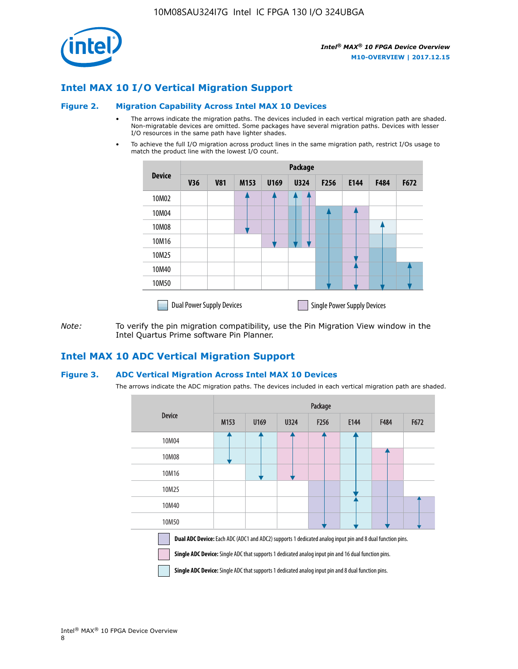

## **Intel MAX 10 I/O Vertical Migration Support**

#### **Figure 2. Migration Capability Across Intel MAX 10 Devices**

- The arrows indicate the migration paths. The devices included in each vertical migration path are shaded. Non-migratable devices are omitted. Some packages have several migration paths. Devices with lesser I/O resources in the same path have lighter shades.
- To achieve the full I/O migration across product lines in the same migration path, restrict I/Os usage to match the product line with the lowest I/O count.

|               | <b>Package</b>                   |            |      |      |             |                  |                                    |      |      |  |
|---------------|----------------------------------|------------|------|------|-------------|------------------|------------------------------------|------|------|--|
| <b>Device</b> | <b>V36</b>                       | <b>V81</b> | M153 | U169 | <b>U324</b> | F <sub>256</sub> | E144                               | F484 | F672 |  |
| 10M02         |                                  |            |      |      | 7           |                  |                                    |      |      |  |
| 10M04         |                                  |            |      |      |             |                  |                                    |      |      |  |
| 10M08         |                                  |            |      |      |             |                  |                                    |      |      |  |
| 10M16         |                                  |            |      |      |             |                  |                                    |      |      |  |
| 10M25         |                                  |            |      |      |             |                  |                                    |      |      |  |
| 10M40         |                                  |            |      |      |             |                  |                                    |      |      |  |
| 10M50         |                                  |            |      |      |             |                  |                                    |      |      |  |
|               | <b>Dual Power Supply Devices</b> |            |      |      |             |                  | <b>Single Power Supply Devices</b> |      |      |  |

*Note:* To verify the pin migration compatibility, use the Pin Migration View window in the Intel Quartus Prime software Pin Planner.

## **Intel MAX 10 ADC Vertical Migration Support**

#### **Figure 3. ADC Vertical Migration Across Intel MAX 10 Devices**

The arrows indicate the ADC migration paths. The devices included in each vertical migration path are shaded.

|                                                                                                                                                                                                                         | Package |      |      |                  |      |      |      |  |  |
|-------------------------------------------------------------------------------------------------------------------------------------------------------------------------------------------------------------------------|---------|------|------|------------------|------|------|------|--|--|
| <b>Device</b>                                                                                                                                                                                                           | M153    | U169 | U324 | F <sub>256</sub> | E144 | F484 | F672 |  |  |
| 10M04                                                                                                                                                                                                                   |         |      |      |                  |      |      |      |  |  |
| 10M08                                                                                                                                                                                                                   |         |      |      |                  |      |      |      |  |  |
| 10M16                                                                                                                                                                                                                   |         |      |      |                  |      |      |      |  |  |
| 10M25                                                                                                                                                                                                                   |         |      |      |                  |      |      |      |  |  |
| 10M40                                                                                                                                                                                                                   |         |      |      |                  |      |      |      |  |  |
| 10M50                                                                                                                                                                                                                   |         |      |      |                  |      |      |      |  |  |
| Dual ADC Device: Each ADC (ADC1 and ADC2) supports 1 dedicated analog input pin and 8 dual function pins.<br><b>Single ADC Device:</b> Single ADC that supports 1 dedicated analog input pin and 16 dual function pins. |         |      |      |                  |      |      |      |  |  |

**Single ADC Device:** Single ADC that supports 1 dedicated analog input pin and 8 dual function pins.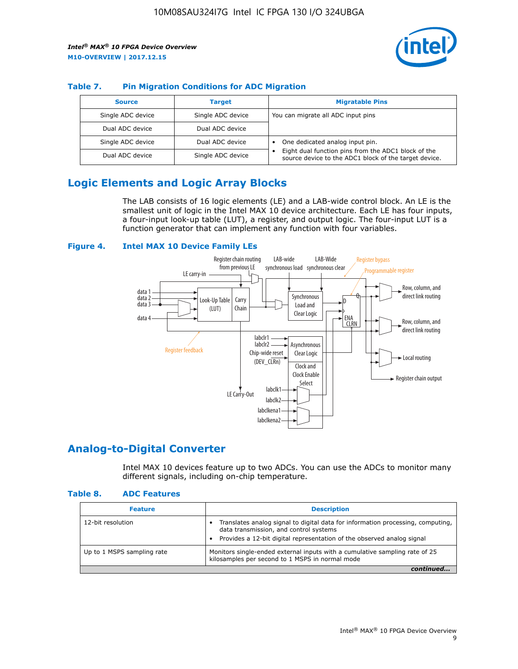

## **Table 7. Pin Migration Conditions for ADC Migration**

| <b>Source</b>     | <b>Target</b>     | <b>Migratable Pins</b>                                                                                            |
|-------------------|-------------------|-------------------------------------------------------------------------------------------------------------------|
| Single ADC device | Single ADC device | You can migrate all ADC input pins                                                                                |
| Dual ADC device   | Dual ADC device   |                                                                                                                   |
| Single ADC device | Dual ADC device   | One dedicated analog input pin.                                                                                   |
| Dual ADC device   | Single ADC device | Eight dual function pins from the ADC1 block of the<br>٠<br>source device to the ADC1 block of the target device. |

## **Logic Elements and Logic Array Blocks**

The LAB consists of 16 logic elements (LE) and a LAB-wide control block. An LE is the smallest unit of logic in the Intel MAX 10 device architecture. Each LE has four inputs, a four-input look-up table (LUT), a register, and output logic. The four-input LUT is a function generator that can implement any function with four variables.

#### **Figure 4. Intel MAX 10 Device Family LEs**



## **Analog-to-Digital Converter**

Intel MAX 10 devices feature up to two ADCs. You can use the ADCs to monitor many different signals, including on-chip temperature.

#### **Table 8. ADC Features**

| <b>Feature</b>             | <b>Description</b>                                                                                                                                                                                  |
|----------------------------|-----------------------------------------------------------------------------------------------------------------------------------------------------------------------------------------------------|
| 12-bit resolution          | Translates analog signal to digital data for information processing, computing,<br>data transmission, and control systems<br>Provides a 12-bit digital representation of the observed analog signal |
| Up to 1 MSPS sampling rate | Monitors single-ended external inputs with a cumulative sampling rate of 25<br>kilosamples per second to 1 MSPS in normal mode                                                                      |
|                            |                                                                                                                                                                                                     |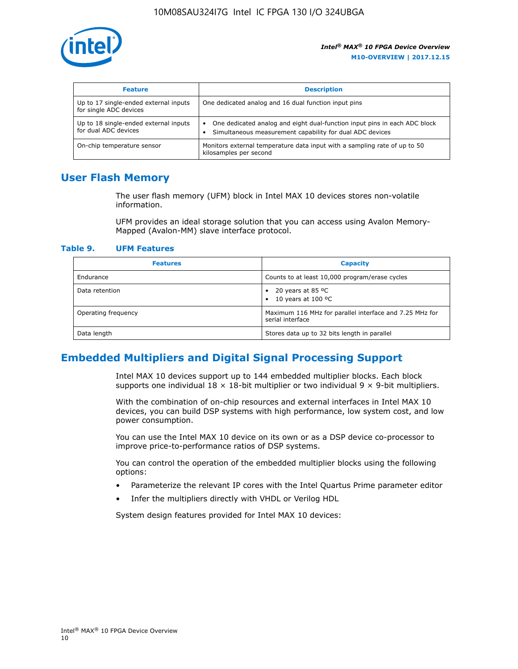

| <b>Feature</b>                                                  | <b>Description</b>                                                                                                                         |
|-----------------------------------------------------------------|--------------------------------------------------------------------------------------------------------------------------------------------|
| Up to 17 single-ended external inputs<br>for single ADC devices | One dedicated analog and 16 dual function input pins                                                                                       |
| Up to 18 single-ended external inputs<br>for dual ADC devices   | One dedicated analog and eight dual-function input pins in each ADC block<br>٠<br>Simultaneous measurement capability for dual ADC devices |
| On-chip temperature sensor                                      | Monitors external temperature data input with a sampling rate of up to 50<br>kilosamples per second                                        |

## **User Flash Memory**

The user flash memory (UFM) block in Intel MAX 10 devices stores non-volatile information.

UFM provides an ideal storage solution that you can access using Avalon Memory-Mapped (Avalon-MM) slave interface protocol.

#### **Table 9. UFM Features**

| <b>Features</b>     | <b>Capacity</b>                                                             |
|---------------------|-----------------------------------------------------------------------------|
| Endurance           | Counts to at least 10,000 program/erase cycles                              |
| Data retention      | 20 years at 85 $^{\circ}$ C<br>٠<br>10 years at 100 °C<br>$\bullet$         |
| Operating frequency | Maximum 116 MHz for parallel interface and 7.25 MHz for<br>serial interface |
| Data length         | Stores data up to 32 bits length in parallel                                |

## **Embedded Multipliers and Digital Signal Processing Support**

Intel MAX 10 devices support up to 144 embedded multiplier blocks. Each block supports one individual  $18 \times 18$ -bit multiplier or two individual  $9 \times 9$ -bit multipliers.

With the combination of on-chip resources and external interfaces in Intel MAX 10 devices, you can build DSP systems with high performance, low system cost, and low power consumption.

You can use the Intel MAX 10 device on its own or as a DSP device co-processor to improve price-to-performance ratios of DSP systems.

You can control the operation of the embedded multiplier blocks using the following options:

- Parameterize the relevant IP cores with the Intel Quartus Prime parameter editor
- Infer the multipliers directly with VHDL or Verilog HDL

System design features provided for Intel MAX 10 devices: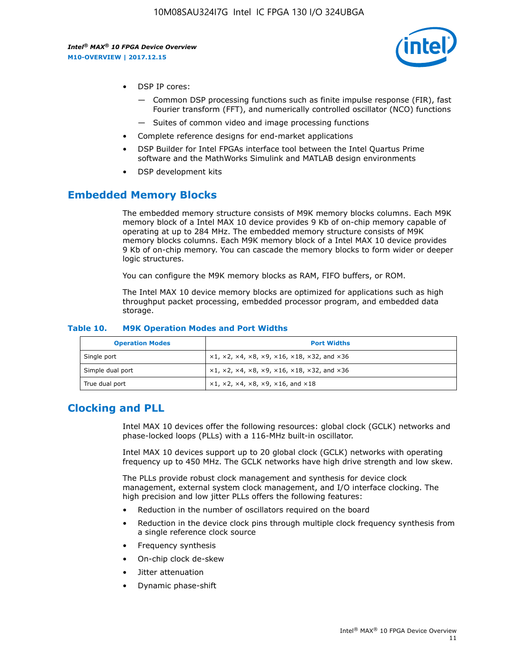

- DSP IP cores:
	- Common DSP processing functions such as finite impulse response (FIR), fast Fourier transform (FFT), and numerically controlled oscillator (NCO) functions
	- Suites of common video and image processing functions
- Complete reference designs for end-market applications
- DSP Builder for Intel FPGAs interface tool between the Intel Quartus Prime software and the MathWorks Simulink and MATLAB design environments
- DSP development kits

## **Embedded Memory Blocks**

The embedded memory structure consists of M9K memory blocks columns. Each M9K memory block of a Intel MAX 10 device provides 9 Kb of on-chip memory capable of operating at up to 284 MHz. The embedded memory structure consists of M9K memory blocks columns. Each M9K memory block of a Intel MAX 10 device provides 9 Kb of on-chip memory. You can cascade the memory blocks to form wider or deeper logic structures.

You can configure the M9K memory blocks as RAM, FIFO buffers, or ROM.

The Intel MAX 10 device memory blocks are optimized for applications such as high throughput packet processing, embedded processor program, and embedded data storage.

| <b>Operation Modes</b> | <b>Port Widths</b>                                                            |
|------------------------|-------------------------------------------------------------------------------|
| Single port            | $x1, x2, x4, x8, x9, x16, x18, x32, and x36$                                  |
| Simple dual port       | $x1, x2, x4, x8, x9, x16, x18, x32, and x36$                                  |
| True dual port         | $\times1, \times2, \times4, \times8, \times9, \times16, \text{and } \times18$ |

#### **Table 10. M9K Operation Modes and Port Widths**

## **Clocking and PLL**

Intel MAX 10 devices offer the following resources: global clock (GCLK) networks and phase-locked loops (PLLs) with a 116-MHz built-in oscillator.

Intel MAX 10 devices support up to 20 global clock (GCLK) networks with operating frequency up to 450 MHz. The GCLK networks have high drive strength and low skew.

The PLLs provide robust clock management and synthesis for device clock management, external system clock management, and I/O interface clocking. The high precision and low jitter PLLs offers the following features:

- Reduction in the number of oscillators required on the board
- Reduction in the device clock pins through multiple clock frequency synthesis from a single reference clock source
- Frequency synthesis
- On-chip clock de-skew
- Jitter attenuation
- Dynamic phase-shift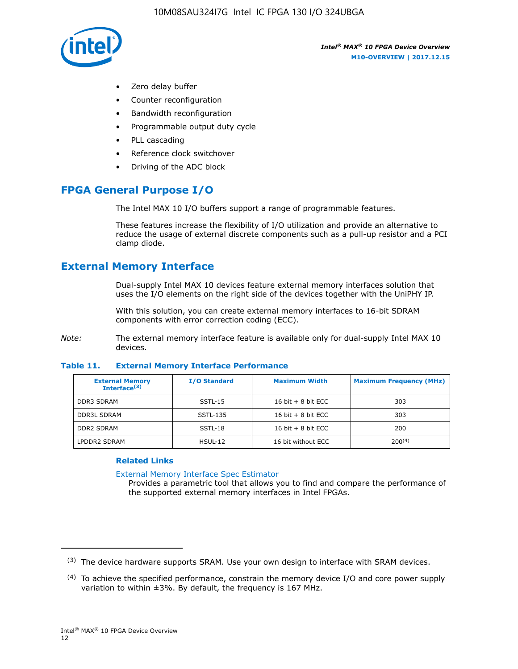

- Zero delay buffer
- Counter reconfiguration
- Bandwidth reconfiguration
- Programmable output duty cycle
- PLL cascading
- Reference clock switchover
- Driving of the ADC block

## **FPGA General Purpose I/O**

The Intel MAX 10 I/O buffers support a range of programmable features.

These features increase the flexibility of I/O utilization and provide an alternative to reduce the usage of external discrete components such as a pull-up resistor and a PCI clamp diode.

## **External Memory Interface**

Dual-supply Intel MAX 10 devices feature external memory interfaces solution that uses the I/O elements on the right side of the devices together with the UniPHY IP.

With this solution, you can create external memory interfaces to 16-bit SDRAM components with error correction coding (ECC).

*Note:* The external memory interface feature is available only for dual-supply Intel MAX 10 devices.

#### **Table 11. External Memory Interface Performance**

| <b>External Memory</b><br>Interface $(3)$ | <b>I/O Standard</b> | <b>Maximum Width</b> | <b>Maximum Frequency (MHz)</b> |
|-------------------------------------------|---------------------|----------------------|--------------------------------|
| <b>DDR3 SDRAM</b>                         | SSTL-15             | 16 bit $+8$ bit ECC  | 303                            |
| <b>DDR3L SDRAM</b>                        | SSTL-135            | 16 bit $+8$ bit ECC  | 303                            |
| <b>DDR2 SDRAM</b>                         | SSTL-18             | 16 bit $+8$ bit ECC  | 200                            |
| LPDDR2 SDRAM                              | $H$ SUL-12          | 16 bit without ECC   | 200(4)                         |

## **Related Links**

[External Memory Interface Spec Estimator](http://www.altera.com/technology/memory/estimator/mem-emif-index.html)

Provides a parametric tool that allows you to find and compare the performance of the supported external memory interfaces in Intel FPGAs.

 $(3)$  The device hardware supports SRAM. Use your own design to interface with SRAM devices.

 $(4)$  To achieve the specified performance, constrain the memory device I/O and core power supply variation to within ±3%. By default, the frequency is 167 MHz.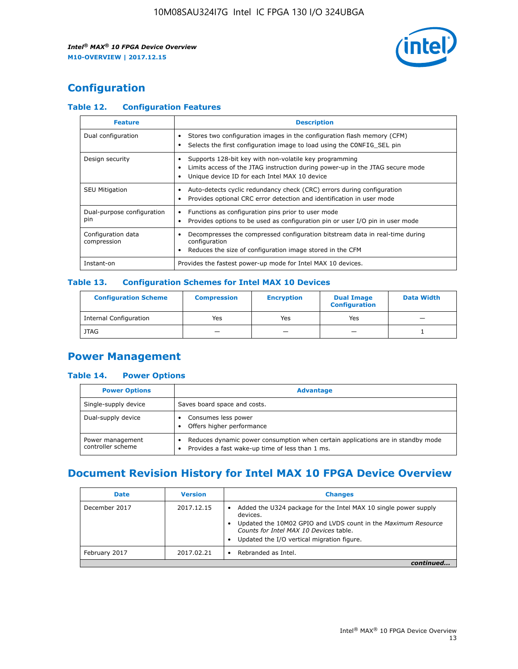

## **Configuration**

## **Table 12. Configuration Features**

| <b>Feature</b>                    | <b>Description</b>                                                                                                                                                                       |
|-----------------------------------|------------------------------------------------------------------------------------------------------------------------------------------------------------------------------------------|
| Dual configuration                | Stores two configuration images in the configuration flash memory (CFM)<br>Selects the first configuration image to load using the CONFIG SEL pin                                        |
| Design security                   | Supports 128-bit key with non-volatile key programming<br>Limits access of the JTAG instruction during power-up in the JTAG secure mode<br>Unique device ID for each Intel MAX 10 device |
| <b>SEU Mitigation</b>             | Auto-detects cyclic redundancy check (CRC) errors during configuration<br>Provides optional CRC error detection and identification in user mode                                          |
| Dual-purpose configuration<br>pin | Functions as configuration pins prior to user mode<br>$\bullet$<br>Provides options to be used as configuration pin or user I/O pin in user mode                                         |
| Configuration data<br>compression | Decompresses the compressed configuration bitstream data in real-time during<br>configuration<br>Reduces the size of configuration image stored in the CFM                               |
| Instant-on                        | Provides the fastest power-up mode for Intel MAX 10 devices.                                                                                                                             |

#### **Table 13. Configuration Schemes for Intel MAX 10 Devices**

| <b>Configuration Scheme</b>   | <b>Compression</b>       | <b>Encryption</b> | <b>Dual Image</b><br><b>Configuration</b> | <b>Data Width</b> |
|-------------------------------|--------------------------|-------------------|-------------------------------------------|-------------------|
| <b>Internal Configuration</b> | Yes                      | Yes               | Yes                                       |                   |
| <b>JTAG</b>                   | $\overline{\phantom{a}}$ |                   | -                                         |                   |

## **Power Management**

## **Table 14. Power Options**

| <b>Power Options</b>                  | <b>Advantage</b>                                                                                                                        |  |
|---------------------------------------|-----------------------------------------------------------------------------------------------------------------------------------------|--|
| Single-supply device                  | Saves board space and costs.                                                                                                            |  |
| Dual-supply device                    | Consumes less power<br>Offers higher performance<br>$\bullet$                                                                           |  |
| Power management<br>controller scheme | Reduces dynamic power consumption when certain applications are in standby mode<br>Provides a fast wake-up time of less than 1 ms.<br>٠ |  |

## **Document Revision History for Intel MAX 10 FPGA Device Overview**

| <b>Date</b>   | <b>Version</b> | <b>Changes</b>                                                                                                                                                                                                                       |
|---------------|----------------|--------------------------------------------------------------------------------------------------------------------------------------------------------------------------------------------------------------------------------------|
| December 2017 | 2017.12.15     | Added the U324 package for the Intel MAX 10 single power supply<br>devices.<br>Updated the 10M02 GPIO and LVDS count in the Maximum Resource<br>Counts for Intel MAX 10 Devices table.<br>Updated the I/O vertical migration figure. |
| February 2017 | 2017.02.21     | Rebranded as Intel.                                                                                                                                                                                                                  |
|               |                |                                                                                                                                                                                                                                      |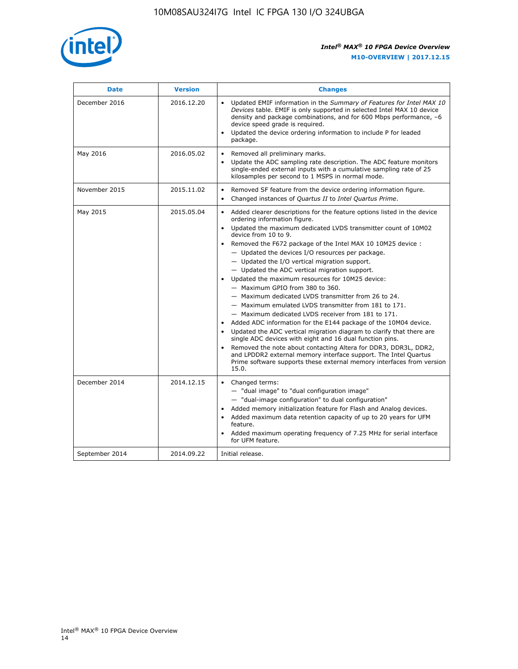

| <b>Date</b>    | <b>Version</b> | <b>Changes</b>                                                                                                                                                                                                                                                                                                                                                                                                                                                                                                                                                                                                                                                                                                                                                                                                                                                                                                                                                                                                                                                                                                                                                         |
|----------------|----------------|------------------------------------------------------------------------------------------------------------------------------------------------------------------------------------------------------------------------------------------------------------------------------------------------------------------------------------------------------------------------------------------------------------------------------------------------------------------------------------------------------------------------------------------------------------------------------------------------------------------------------------------------------------------------------------------------------------------------------------------------------------------------------------------------------------------------------------------------------------------------------------------------------------------------------------------------------------------------------------------------------------------------------------------------------------------------------------------------------------------------------------------------------------------------|
| December 2016  | 2016.12.20     | • Updated EMIF information in the Summary of Features for Intel MAX 10<br>Devices table. EMIF is only supported in selected Intel MAX 10 device<br>density and package combinations, and for 600 Mbps performance, -6<br>device speed grade is required.<br>Updated the device ordering information to include P for leaded<br>package.                                                                                                                                                                                                                                                                                                                                                                                                                                                                                                                                                                                                                                                                                                                                                                                                                                |
| May 2016       | 2016.05.02     | Removed all preliminary marks.<br>$\bullet$<br>Update the ADC sampling rate description. The ADC feature monitors<br>$\bullet$<br>single-ended external inputs with a cumulative sampling rate of 25<br>kilosamples per second to 1 MSPS in normal mode.                                                                                                                                                                                                                                                                                                                                                                                                                                                                                                                                                                                                                                                                                                                                                                                                                                                                                                               |
| November 2015  | 2015.11.02     | Removed SF feature from the device ordering information figure.<br>$\bullet$<br>Changed instances of Quartus II to Intel Quartus Prime.                                                                                                                                                                                                                                                                                                                                                                                                                                                                                                                                                                                                                                                                                                                                                                                                                                                                                                                                                                                                                                |
| May 2015       | 2015.05.04     | Added clearer descriptions for the feature options listed in the device<br>$\bullet$<br>ordering information figure.<br>• Updated the maximum dedicated LVDS transmitter count of 10M02<br>device from 10 to 9.<br>Removed the F672 package of the Intel MAX 10 10M25 device:<br>- Updated the devices I/O resources per package.<br>$-$ Updated the I/O vertical migration support.<br>- Updated the ADC vertical migration support.<br>Updated the maximum resources for 10M25 device:<br>- Maximum GPIO from 380 to 360.<br>- Maximum dedicated LVDS transmitter from 26 to 24.<br>- Maximum emulated LVDS transmitter from 181 to 171.<br>- Maximum dedicated LVDS receiver from 181 to 171.<br>Added ADC information for the E144 package of the 10M04 device.<br>$\bullet$<br>Updated the ADC vertical migration diagram to clarify that there are<br>$\bullet$<br>single ADC devices with eight and 16 dual function pins.<br>Removed the note about contacting Altera for DDR3, DDR3L, DDR2,<br>$\bullet$<br>and LPDDR2 external memory interface support. The Intel Quartus<br>Prime software supports these external memory interfaces from version<br>15.0. |
| December 2014  | 2014.12.15     | • Changed terms:<br>- "dual image" to "dual configuration image"<br>- "dual-image configuration" to dual configuration"<br>• Added memory initialization feature for Flash and Analog devices.<br>• Added maximum data retention capacity of up to 20 years for UFM<br>feature.<br>Added maximum operating frequency of 7.25 MHz for serial interface<br>$\bullet$<br>for UFM feature.                                                                                                                                                                                                                                                                                                                                                                                                                                                                                                                                                                                                                                                                                                                                                                                 |
| September 2014 | 2014.09.22     | Initial release.                                                                                                                                                                                                                                                                                                                                                                                                                                                                                                                                                                                                                                                                                                                                                                                                                                                                                                                                                                                                                                                                                                                                                       |